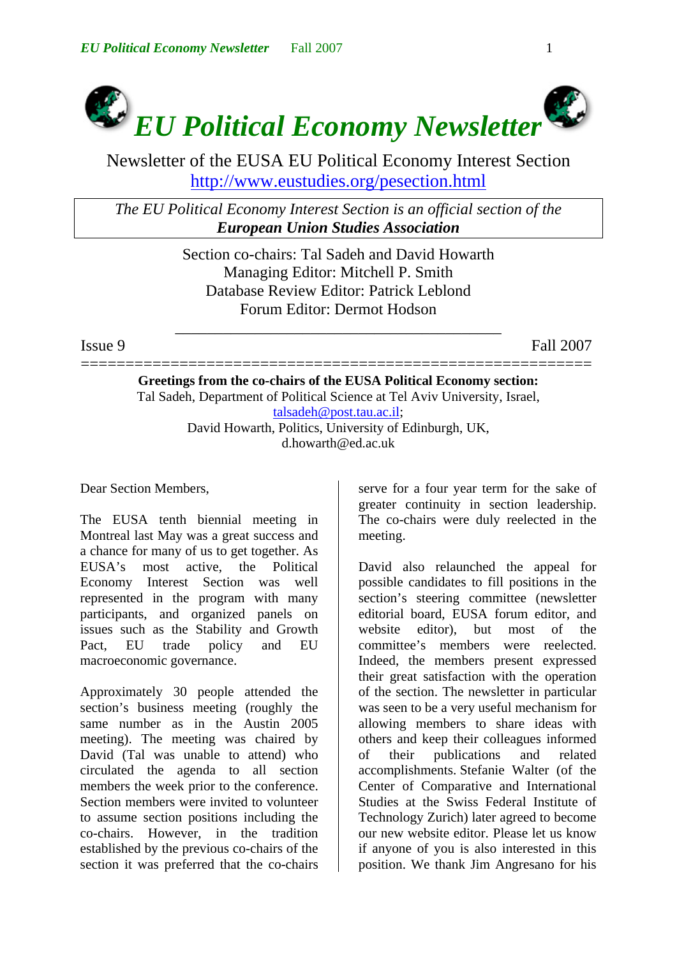

Newsletter of the EUSA EU Political Economy Interest Section http://www.eustudies.org/pesection.html

*The EU Political Economy Interest Section is an official section of the European Union Studies Association*

> Section co-chairs: Tal Sadeh and David Howarth Managing Editor: Mitchell P. Smith Database Review Editor: Patrick Leblond Forum Editor: Dermot Hodson

\_\_\_\_\_\_\_\_\_\_\_\_\_\_\_\_\_\_\_\_\_\_\_\_\_\_\_\_\_\_\_\_\_\_\_\_\_\_\_\_\_

Issue 9 Fall 2007

========================================================= **Greetings from the co-chairs of the EUSA Political Economy section:**  Tal Sadeh, Department of Political Science at Tel Aviv University, Israel, [talsadeh@post.tau.ac.il;](mailto:talsadeh@post.tau.ac.il) David Howarth, Politics, University of Edinburgh, UK, d.howarth@ed.ac.uk

Dear Section Members,

The EUSA tenth biennial meeting in Montreal last May was a great success and a chance for many of us to get together. As EUSA's most active, the Political Economy Interest Section was well represented in the program with many participants, and organized panels on issues such as the Stability and Growth Pact, EU trade policy and EU macroeconomic governance.

Approximately 30 people attended the section's business meeting (roughly the same number as in the Austin 2005 meeting). The meeting was chaired by David (Tal was unable to attend) who circulated the agenda to all section members the week prior to the conference. Section members were invited to volunteer to assume section positions including the co-chairs. However, in the tradition established by the previous co-chairs of the section it was preferred that the co-chairs serve for a four year term for the sake of greater continuity in section leadership. The co-chairs were duly reelected in the meeting.

David also relaunched the appeal for possible candidates to fill positions in the section's steering committee (newsletter editorial board, EUSA forum editor, and website editor), but most of the committee's members were reelected. Indeed, the members present expressed their great satisfaction with the operation of the section. The newsletter in particular was seen to be a very useful mechanism for allowing members to share ideas with others and keep their colleagues informed of their publications and related accomplishments. Stefanie Walter (of the Center of Comparative and International Studies at the Swiss Federal Institute of Technology Zurich) later agreed to become our new website editor. Please let us know if anyone of you is also interested in this position. We thank Jim Angresano for his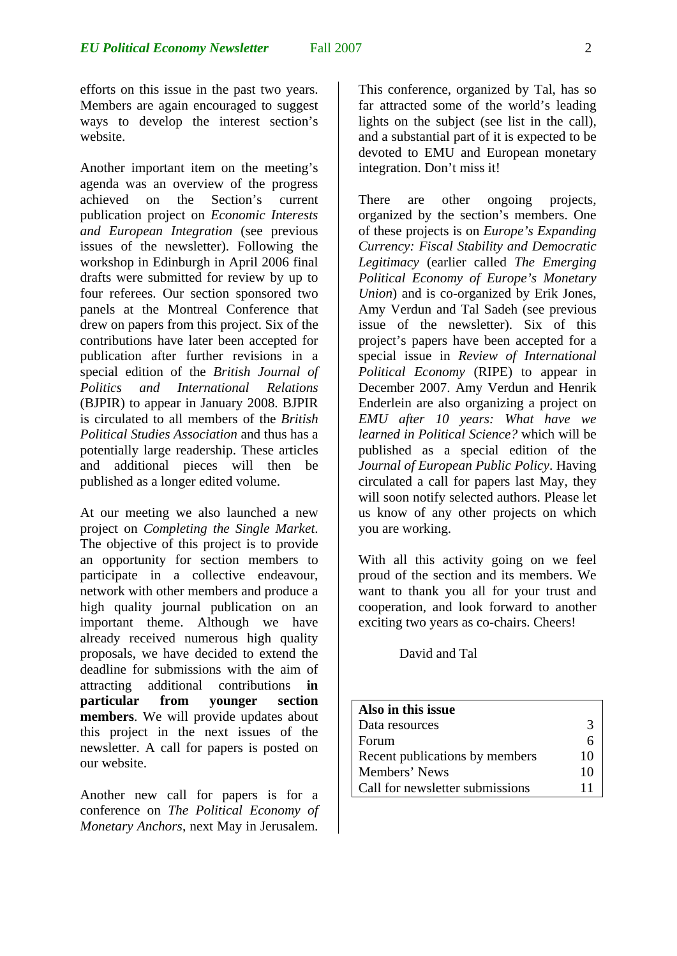efforts on this issue in the past two years. Members are again encouraged to suggest ways to develop the interest section's website.

Another important item on the meeting's agenda was an overview of the progress achieved on the Section's current publication project on *Economic Interests and European Integration* (see previous issues of the newsletter). Following the workshop in Edinburgh in April 2006 final drafts were submitted for review by up to four referees. Our section sponsored two panels at the Montreal Conference that drew on papers from this project. Six of the contributions have later been accepted for publication after further revisions in a special edition of the *British Journal of Politics and International Relations* (BJPIR) to appear in January 2008. BJPIR is circulated to all members of the *British Political Studies Association* and thus has a potentially large readership. These articles and additional pieces will then be published as a longer edited volume.

At our meeting we also launched a new project on *Completing the Single Market*. The objective of this project is to provide an opportunity for section members to participate in a collective endeavour, network with other members and produce a high quality journal publication on an important theme. Although we have already received numerous high quality proposals, we have decided to extend the deadline for submissions with the aim of attracting additional contributions **in particular from younger section members**. We will provide updates about this project in the next issues of the newsletter. A call for papers is posted on our website.

Another new call for papers is for a conference on *The Political Economy of Monetary Anchors*, next May in Jerusalem.

This conference, organized by Tal, has so far attracted some of the world's leading lights on the subject (see list in the call), and a substantial part of it is expected to be devoted to EMU and European monetary integration. Don't miss it!

There are other ongoing projects, organized by the section's members. One of these projects is on *Europe's Expanding Currency: Fiscal Stability and Democratic Legitimacy* (earlier called *The Emerging Political Economy of Europe's Monetary Union*) and is co-organized by Erik Jones, Amy Verdun and Tal Sadeh (see previous issue of the newsletter). Six of this project's papers have been accepted for a special issue in *Review of International Political Economy* (RIPE) to appear in December 2007. Amy Verdun and Henrik Enderlein are also organizing a project on *EMU after 10 years: What have we learned in Political Science?* which will be published as a special edition of the *Journal of European Public Policy*. Having circulated a call for papers last May, they will soon notify selected authors. Please let us know of any other projects on which you are working.

With all this activity going on we feel proud of the section and its members. We want to thank you all for your trust and cooperation, and look forward to another exciting two years as co-chairs. Cheers!

David and Tal

| Also in this issue              |    |
|---------------------------------|----|
| Data resources                  | 3  |
| Forum                           |    |
| Recent publications by members  | 10 |
| Members' News                   | 10 |
| Call for newsletter submissions | 11 |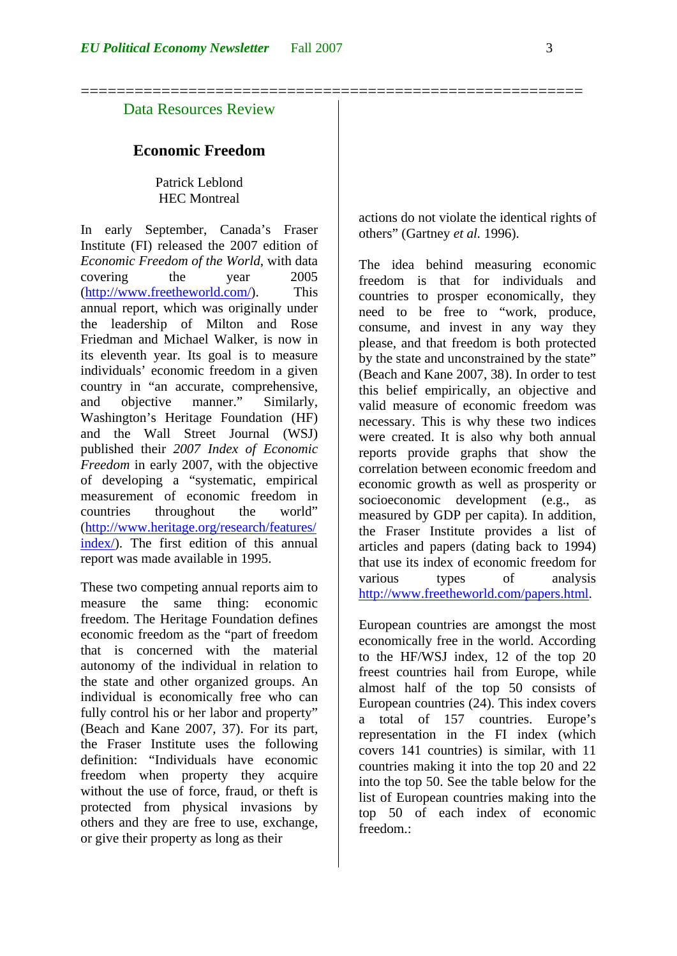========================================================

## Data Resources Review

### **Economic Freedom**

Patrick Leblond HEC Montreal

In early September, Canada's Fraser Institute (FI) released the 2007 edition of *Economic Freedom of the World*, with data covering the year 2005 ([http://www.freetheworld.com/\)](http://www.freetheworld.com/). This annual report, which was originally under the leadership of Milton and Rose Friedman and Michael Walker, is now in its eleventh year. Its goal is to measure individuals' economic freedom in a given country in "an accurate, comprehensive, and objective manner." Similarly, Washington's Heritage Foundation (HF) and the Wall Street Journal (WSJ) published their *2007 Index of Economic Freedom* in early 2007, with the objective of developing a "systematic, empirical measurement of economic freedom in countries throughout the world" ([http://www.heritage.org/research/features/](http://www.heritage.org/research/features/index/) [index/\)](http://www.heritage.org/research/features/index/). The first edition of this annual report was made available in 1995.

These two competing annual reports aim to measure the same thing: economic freedom. The Heritage Foundation defines economic freedom as the "part of freedom that is concerned with the material autonomy of the individual in relation to the state and other organized groups. An individual is economically free who can fully control his or her labor and property" (Beach and Kane 2007, 37). For its part, the Fraser Institute uses the following definition: "Individuals have economic freedom when property they acquire without the use of force, fraud, or theft is protected from physical invasions by others and they are free to use, exchange, or give their property as long as their

actions do not violate the identical rights of others" (Gartney *et al.* 1996).

The idea behind measuring economic freedom is that for individuals and countries to prosper economically, they need to be free to "work, produce, consume, and invest in any way they please, and that freedom is both protected by the state and unconstrained by the state" (Beach and Kane 2007, 38). In order to test this belief empirically, an objective and valid measure of economic freedom was necessary. This is why these two indices were created. It is also why both annual reports provide graphs that show the correlation between economic freedom and economic growth as well as prosperity or socioeconomic development (e.g., as measured by GDP per capita). In addition, the Fraser Institute provides a list of articles and papers (dating back to 1994) that use its index of economic freedom for various types of analysis [http://www.freetheworld.com/papers.html.](http://www.freetheworld.com/papers.html)

European countries are amongst the most economically free in the world. According to the HF/WSJ index, 12 of the top 20 freest countries hail from Europe, while almost half of the top 50 consists of European countries (24). This index covers a total of 157 countries. Europe's representation in the FI index (which covers 141 countries) is similar, with 11 countries making it into the top 20 and 22 into the top 50. See the table below for the list of European countries making into the top 50 of each index of economic freedom.: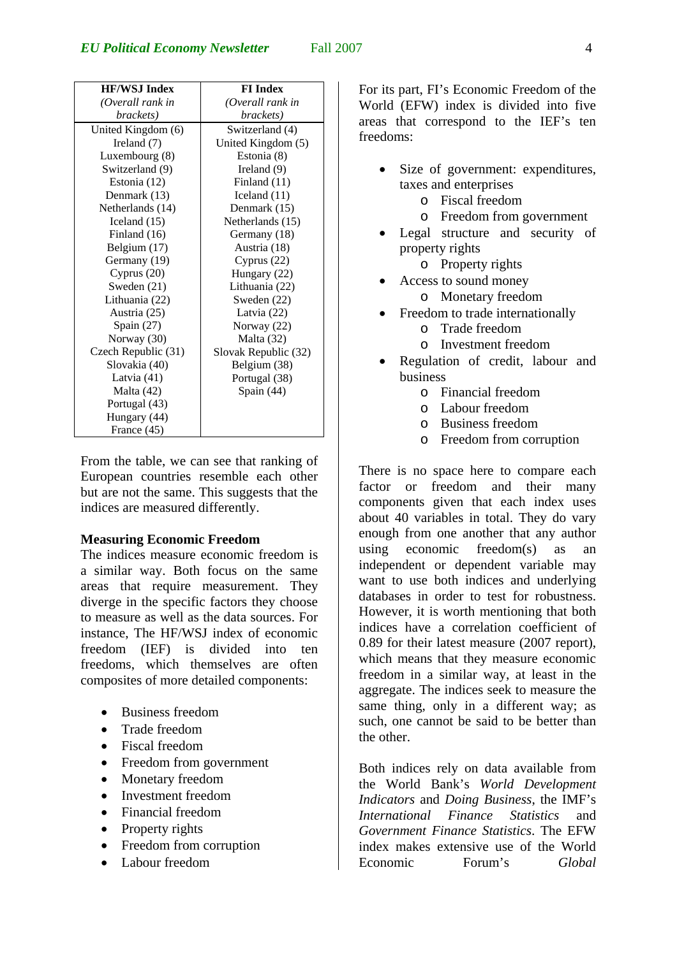| <b>HF/WSJ Index</b> | <b>FI</b> Index      |
|---------------------|----------------------|
| (Overall rank in    | (Overall rank in     |
| brackets)           | brackets)            |
| United Kingdom (6)  | Switzerland (4)      |
| Ireland (7)         | United Kingdom (5)   |
| Luxembourg (8)      | Estonia (8)          |
| Switzerland (9)     | Ireland $(9)$        |
| Estonia (12)        | Finland $(11)$       |
| Denmark (13)        | Iceland $(11)$       |
| Netherlands (14)    | Denmark (15)         |
| Iceland $(15)$      | Netherlands (15)     |
| Finland (16)        | Germany (18)         |
| Belgium (17)        | Austria (18)         |
| Germany (19)        | Cyprus $(22)$        |
| Cyprus $(20)$       | Hungary (22)         |
| Sweden (21)         | Lithuania (22)       |
| Lithuania (22)      | Sweden (22)          |
| Austria (25)        | Latvia $(22)$        |
| Spain $(27)$        | Norway (22)          |
| Norway (30)         | Malta (32)           |
| Czech Republic (31) | Slovak Republic (32) |
| Slovakia (40)       | Belgium (38)         |
| Latvia (41)         | Portugal (38)        |
| Malta (42)          | Spain (44)           |
| Portugal (43)       |                      |
| Hungary (44)        |                      |
| France (45)         |                      |

From the table, we can see that ranking of European countries resemble each other but are not the same. This suggests that the indices are measured differently.

#### **Measuring Economic Freedom**

The indices measure economic freedom is a similar way. Both focus on the same areas that require measurement. They diverge in the specific factors they choose to measure as well as the data sources. For instance, The HF/WSJ index of economic freedom (IEF) is divided into ten freedoms, which themselves are often composites of more detailed components:

- Business freedom
- Trade freedom
- Fiscal freedom
- Freedom from government
- Monetary freedom
- Investment freedom
- Financial freedom
- Property rights
- Freedom from corruption
- Labour freedom

For its part, FI's Economic Freedom of the World (EFW) index is divided into five areas that correspond to the IEF's ten freedoms:

- Size of government: expenditures, taxes and enterprises
	- o Fiscal freedom
	- o Freedom from government
- Legal structure and security of property rights
	- o Property rights
- Access to sound money
	- o Monetary freedom
- Freedom to trade internationally
	- o Trade freedom
	- o Investment freedom
- Regulation of credit, labour and business
	- o Financial freedom
	- o Labour freedom
	- o Business freedom
	- o Freedom from corruption

There is no space here to compare each factor or freedom and their many components given that each index uses about 40 variables in total. They do vary enough from one another that any author using economic freedom(s) as an independent or dependent variable may want to use both indices and underlying databases in order to test for robustness. However, it is worth mentioning that both indices have a correlation coefficient of 0.89 for their latest measure (2007 report), which means that they measure economic freedom in a similar way, at least in the aggregate. The indices seek to measure the same thing, only in a different way; as such, one cannot be said to be better than the other.

Both indices rely on data available from the World Bank's *World Development Indicators* and *Doing Business*, the IMF's *International Finance Statistics* and *Government Finance Statistics*. The EFW index makes extensive use of the World Economic Forum's *Global*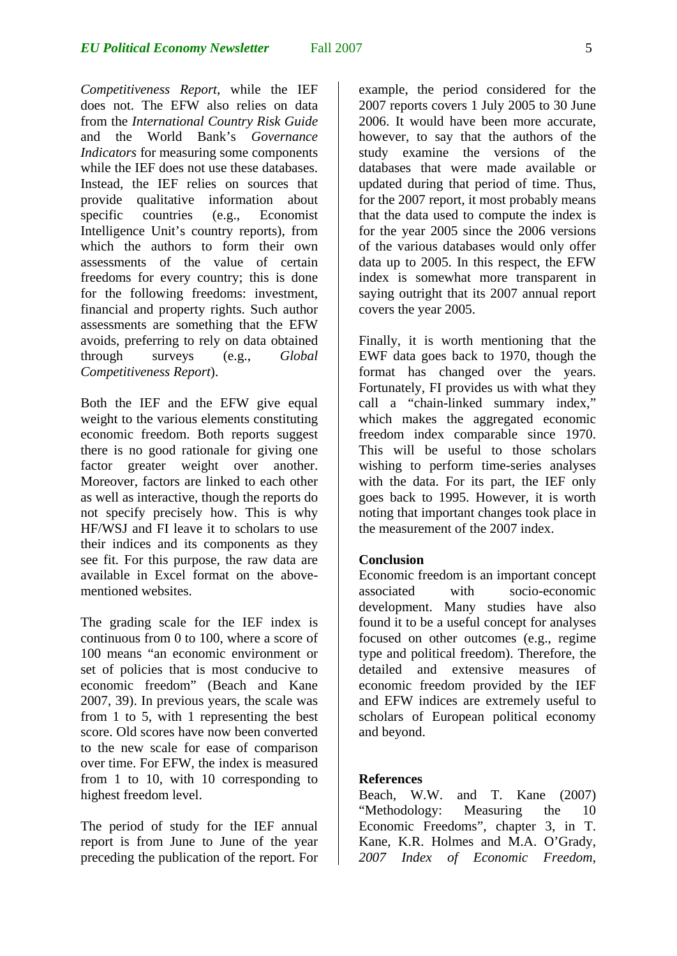*Competitiveness Report*, while the IEF does not. The EFW also relies on data from the *International Country Risk Guide* and the World Bank's *Governance Indicators* for measuring some components while the IEF does not use these databases. Instead, the IEF relies on sources that provide qualitative information about specific countries (e.g., Economist Intelligence Unit's country reports), from which the authors to form their own assessments of the value of certain freedoms for every country; this is done for the following freedoms: investment, financial and property rights. Such author assessments are something that the EFW avoids, preferring to rely on data obtained through surveys (e.g., *Global Competitiveness Report*).

Both the IEF and the EFW give equal weight to the various elements constituting economic freedom. Both reports suggest there is no good rationale for giving one factor greater weight over another. Moreover, factors are linked to each other as well as interactive, though the reports do not specify precisely how. This is why HF/WSJ and FI leave it to scholars to use their indices and its components as they see fit. For this purpose, the raw data are available in Excel format on the abovementioned websites.

The grading scale for the IEF index is continuous from 0 to 100, where a score of 100 means "an economic environment or set of policies that is most conducive to economic freedom" (Beach and Kane 2007, 39). In previous years, the scale was from 1 to 5, with 1 representing the best score. Old scores have now been converted to the new scale for ease of comparison over time. For EFW, the index is measured from 1 to 10, with 10 corresponding to highest freedom level.

The period of study for the IEF annual report is from June to June of the year preceding the publication of the report. For example, the period considered for the 2007 reports covers 1 July 2005 to 30 June 2006. It would have been more accurate, however, to say that the authors of the study examine the versions of the databases that were made available or updated during that period of time. Thus, for the 2007 report, it most probably means that the data used to compute the index is for the year 2005 since the 2006 versions of the various databases would only offer data up to 2005. In this respect, the EFW index is somewhat more transparent in saying outright that its 2007 annual report covers the year 2005.

Finally, it is worth mentioning that the EWF data goes back to 1970, though the format has changed over the years. Fortunately, FI provides us with what they call a "chain-linked summary index," which makes the aggregated economic freedom index comparable since 1970. This will be useful to those scholars wishing to perform time-series analyses with the data. For its part, the IEF only goes back to 1995. However, it is worth noting that important changes took place in the measurement of the 2007 index.

## **Conclusion**

Economic freedom is an important concept associated with socio-economic development. Many studies have also found it to be a useful concept for analyses focused on other outcomes (e.g., regime type and political freedom). Therefore, the detailed and extensive measures of economic freedom provided by the IEF and EFW indices are extremely useful to scholars of European political economy and beyond.

#### **References**

Beach, W.W. and T. Kane (2007) "Methodology: Measuring the 10 Economic Freedoms", chapter 3, in T. Kane, K.R. Holmes and M.A. O'Grady, *2007 Index of Economic Freedom*,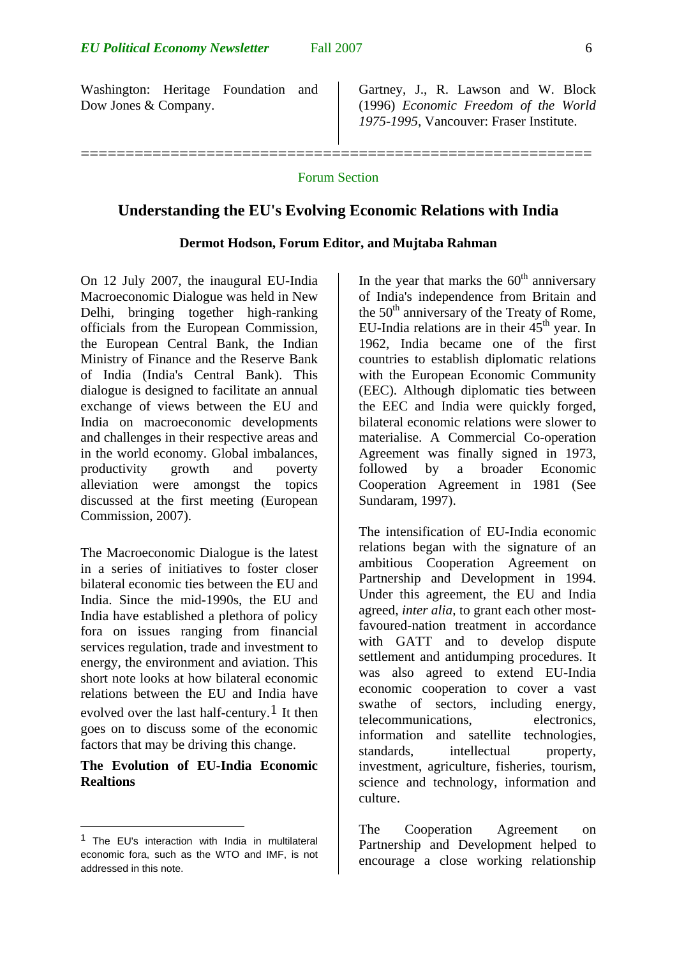Washington: Heritage Foundation and Dow Jones & Company.

Gartney, J., R. Lawson and W. Block (1996) *Economic Freedom of the World 1975-1995*, Vancouver: Fraser Institute.

#### Forum Section

=========================================================

#### **Understanding the EU's Evolving Economic Relations with India**

### **Dermot Hodson, Forum Editor, and Mujtaba Rahman**

On 12 July 2007, the inaugural EU-India Macroeconomic Dialogue was held in New Delhi, bringing together high-ranking officials from the European Commission, the European Central Bank, the Indian Ministry of Finance and the Reserve Bank of India (India's Central Bank). This dialogue is designed to facilitate an annual exchange of views between the EU and India on macroeconomic developments and challenges in their respective areas and in the world economy. Global imbalances, productivity growth and poverty alleviation were amongst the topics discussed at the first meeting (European Commission, 2007).

The Macroeconomic Dialogue is the latest in a series of initiatives to foster closer bilateral economic ties between the EU and India. Since the mid-1990s, the EU and India have established a plethora of policy fora on issues ranging from financial services regulation, trade and investment to energy, the environment and aviation. This short note looks at how bilateral economic relations between the EU and India have evolved over the last half-century.<sup>[1](#page-5-0)</sup> It then goes on to discuss some of the economic factors that may be driving this change.

## **The Evolution of EU-India Economic Realtions**

1

In the year that marks the  $60<sup>th</sup>$  anniversary of India's independence from Britain and the  $50<sup>th</sup>$  anniversary of the Treaty of Rome, EU-India relations are in their  $45<sup>th</sup>$  year. In 1962, India became one of the first countries to establish diplomatic relations with the European Economic Community (EEC). Although diplomatic ties between the EEC and India were quickly forged, bilateral economic relations were slower to materialise. A Commercial Co-operation Agreement was finally signed in 1973, followed by a broader Economic Cooperation Agreement in 1981 (See Sundaram, 1997).

The intensification of EU-India economic relations began with the signature of an ambitious Cooperation Agreement on Partnership and Development in 1994. Under this agreement, the EU and India agreed, *inter alia*, to grant each other mostfavoured-nation treatment in accordance with GATT and to develop dispute settlement and antidumping procedures. It was also agreed to extend EU-India economic cooperation to cover a vast swathe of sectors, including energy, telecommunications, electronics, information and satellite technologies, standards, intellectual property, investment, agriculture, fisheries, tourism, science and technology, information and culture.

The Cooperation Agreement on Partnership and Development helped to encourage a close working relationship

<span id="page-5-0"></span><sup>1</sup> The EU's interaction with India in multilateral economic fora, such as the WTO and IMF, is not addressed in this note.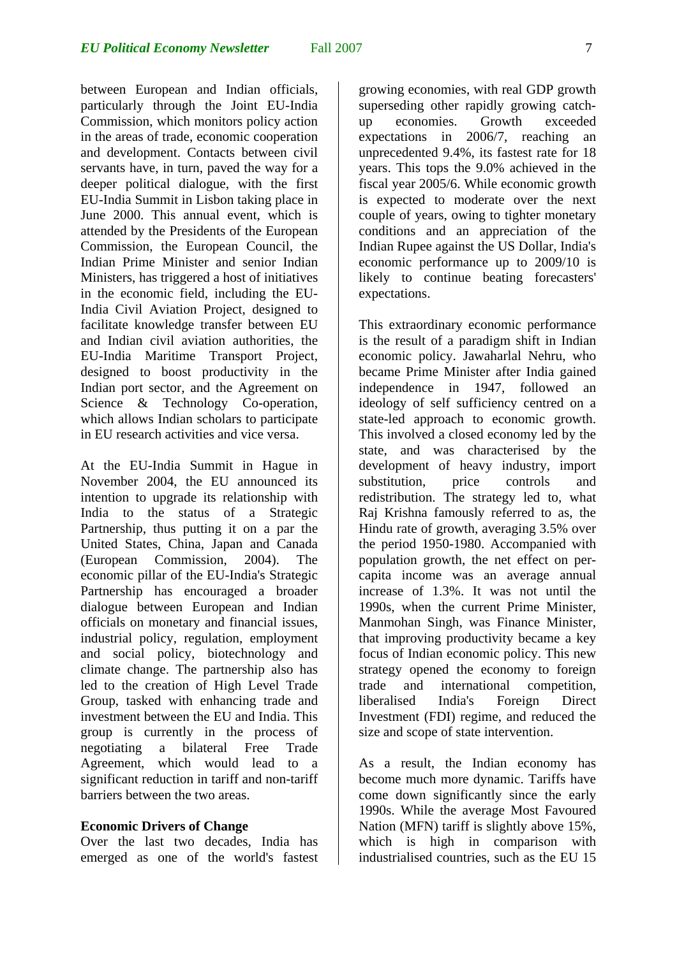between European and Indian officials, particularly through the Joint EU-India Commission, which monitors policy action in the areas of trade, economic cooperation and development. Contacts between civil servants have, in turn, paved the way for a deeper political dialogue, with the first EU-India Summit in Lisbon taking place in June 2000. This annual event, which is attended by the Presidents of the European Commission, the European Council, the Indian Prime Minister and senior Indian Ministers, has triggered a host of initiatives in the economic field, including the EU-India Civil Aviation Project, designed to facilitate knowledge transfer between EU and Indian civil aviation authorities, the EU-India Maritime Transport Project, designed to boost productivity in the Indian port sector, and the Agreement on Science & Technology Co-operation, which allows Indian scholars to participate in EU research activities and vice versa.

At the EU-India Summit in Hague in November 2004, the EU announced its intention to upgrade its relationship with India to the status of a Strategic Partnership, thus putting it on a par the United States, China, Japan and Canada (European Commission, 2004). The economic pillar of the EU-India's Strategic Partnership has encouraged a broader dialogue between European and Indian officials on monetary and financial issues, industrial policy, regulation, employment and social policy, biotechnology and climate change. The partnership also has led to the creation of High Level Trade Group, tasked with enhancing trade and investment between the EU and India. This group is currently in the process of negotiating a bilateral Free Trade Agreement, which would lead to a significant reduction in tariff and non-tariff barriers between the two areas.

#### **Economic Drivers of Change**

Over the last two decades, India has emerged as one of the world's fastest growing economies, with real GDP growth superseding other rapidly growing catchup economies. Growth exceeded expectations in 2006/7, reaching an unprecedented 9.4%, its fastest rate for 18 years. This tops the 9.0% achieved in the fiscal year 2005/6. While economic growth is expected to moderate over the next couple of years, owing to tighter monetary conditions and an appreciation of the Indian Rupee against the US Dollar, India's economic performance up to 2009/10 is likely to continue beating forecasters' expectations.

This extraordinary economic performance is the result of a paradigm shift in Indian economic policy. Jawaharlal Nehru, who became Prime Minister after India gained independence in 1947, followed an ideology of self sufficiency centred on a state-led approach to economic growth. This involved a closed economy led by the state, and was characterised by the development of heavy industry, import substitution, price controls and redistribution. The strategy led to, what Raj Krishna famously referred to as, the Hindu rate of growth, averaging 3.5% over the period 1950-1980. Accompanied with population growth, the net effect on percapita income was an average annual increase of 1.3%. It was not until the 1990s, when the current Prime Minister, Manmohan Singh, was Finance Minister, that improving productivity became a key focus of Indian economic policy. This new strategy opened the economy to foreign trade and international competition, liberalised India's Foreign Direct Investment (FDI) regime, and reduced the size and scope of state intervention.

As a result, the Indian economy has become much more dynamic. Tariffs have come down significantly since the early 1990s. While the average Most Favoured Nation (MFN) tariff is slightly above 15%, which is high in comparison with industrialised countries, such as the EU 15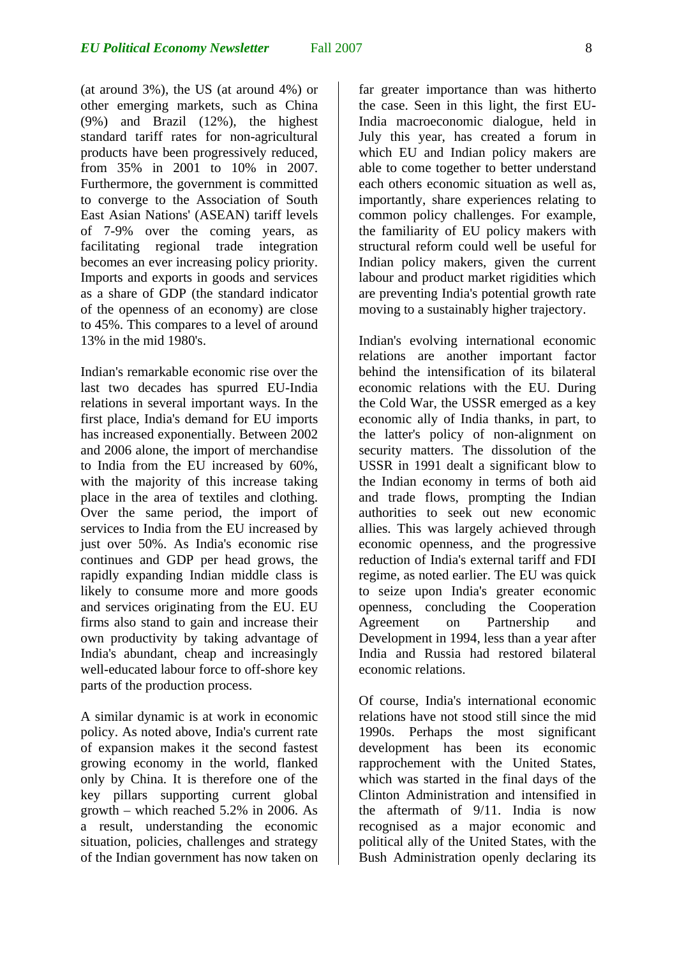(at around 3%), the US (at around 4%) or other emerging markets, such as China (9%) and Brazil (12%), the highest standard tariff rates for non-agricultural products have been progressively reduced, from 35% in 2001 to 10% in 2007. Furthermore, the government is committed to converge to the Association of South East Asian Nations' (ASEAN) tariff levels of 7-9% over the coming years, as facilitating regional trade integration becomes an ever increasing policy priority. Imports and exports in goods and services as a share of GDP (the standard indicator of the openness of an economy) are close to 45%. This compares to a level of around 13% in the mid 1980's.

Indian's remarkable economic rise over the last two decades has spurred EU-India relations in several important ways. In the first place, India's demand for EU imports has increased exponentially. Between 2002 and 2006 alone, the import of merchandise to India from the EU increased by 60%, with the majority of this increase taking place in the area of textiles and clothing. Over the same period, the import of services to India from the EU increased by just over 50%. As India's economic rise continues and GDP per head grows, the rapidly expanding Indian middle class is likely to consume more and more goods and services originating from the EU. EU firms also stand to gain and increase their own productivity by taking advantage of India's abundant, cheap and increasingly well-educated labour force to off-shore key parts of the production process.

A similar dynamic is at work in economic policy. As noted above, India's current rate of expansion makes it the second fastest growing economy in the world, flanked only by China. It is therefore one of the key pillars supporting current global growth – which reached 5.2% in 2006. As a result, understanding the economic situation, policies, challenges and strategy of the Indian government has now taken on far greater importance than was hitherto the case. Seen in this light, the first EU-India macroeconomic dialogue, held in July this year, has created a forum in which EU and Indian policy makers are able to come together to better understand each others economic situation as well as, importantly, share experiences relating to common policy challenges. For example, the familiarity of EU policy makers with structural reform could well be useful for Indian policy makers, given the current labour and product market rigidities which are preventing India's potential growth rate moving to a sustainably higher trajectory.

Indian's evolving international economic relations are another important factor behind the intensification of its bilateral economic relations with the EU. During the Cold War, the USSR emerged as a key economic ally of India thanks, in part, to the latter's policy of non-alignment on security matters. The dissolution of the USSR in 1991 dealt a significant blow to the Indian economy in terms of both aid and trade flows, prompting the Indian authorities to seek out new economic allies. This was largely achieved through economic openness, and the progressive reduction of India's external tariff and FDI regime, as noted earlier. The EU was quick to seize upon India's greater economic openness, concluding the Cooperation Agreement on Partnership and Development in 1994, less than a year after India and Russia had restored bilateral economic relations.

Of course, India's international economic relations have not stood still since the mid 1990s. Perhaps the most significant development has been its economic rapprochement with the United States, which was started in the final days of the Clinton Administration and intensified in the aftermath of 9/11. India is now recognised as a major economic and political ally of the United States, with the Bush Administration openly declaring its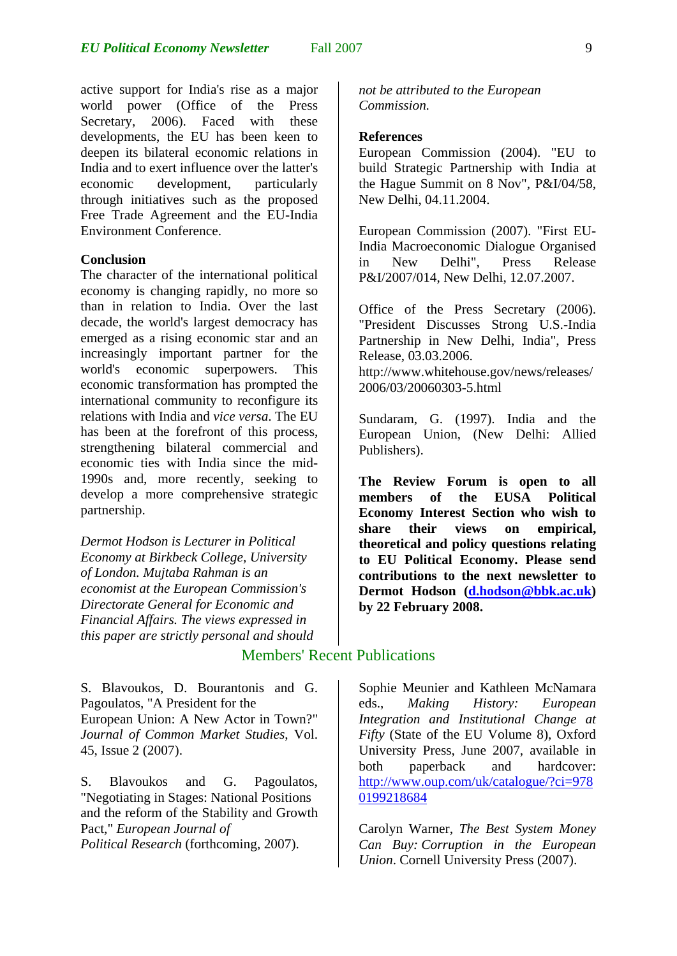active support for India's rise as a major world power (Office of the Press Secretary, 2006). Faced with these developments, the EU has been keen to deepen its bilateral economic relations in India and to exert influence over the latter's economic development, particularly through initiatives such as the proposed Free Trade Agreement and the EU-India Environment Conference.

#### **Conclusion**

The character of the international political economy is changing rapidly, no more so than in relation to India. Over the last decade, the world's largest democracy has emerged as a rising economic star and an increasingly important partner for the world's economic superpowers. This economic transformation has prompted the international community to reconfigure its relations with India and *vice versa*. The EU has been at the forefront of this process, strengthening bilateral commercial and economic ties with India since the mid-1990s and, more recently, seeking to develop a more comprehensive strategic partnership.

*Dermot Hodson is Lecturer in Political Economy at Birkbeck College, University of London. Mujtaba Rahman is an economist at the European Commission's Directorate General for Economic and Financial Affairs. The views expressed in this paper are strictly personal and should* 

S. Blavoukos, D. Bourantonis and G. Pagoulatos, "A President for the European Union: A New Actor in Town?" *Journal of Common Market Studies*, Vol. 45, Issue 2 (2007).

S. Blavoukos and G. Pagoulatos, "Negotiating in Stages: National Positions and the reform of the Stability and Growth Pact," *European Journal of Political Research* (forthcoming, 2007).

*not be attributed to the European Commission.* 

#### **References**

European Commission (2004). "EU to build Strategic Partnership with India at the Hague Summit on 8 Nov", P&I/04/58, New Delhi, 04.11.2004.

European Commission (2007). "First EU-India Macroeconomic Dialogue Organised in New Delhi", Press Release P&I/2007/014, New Delhi, 12.07.2007.

Office of the Press Secretary (2006). "President Discusses Strong U.S.-India Partnership in New Delhi, India", Press Release, 03.03.2006. http://www.whitehouse.gov/news/releases/ 2006/03/20060303-5.html

Sundaram, G. (1997). India and the European Union, (New Delhi: Allied Publishers).

**The Review Forum is open to all members of the EUSA Political Economy Interest Section who wish to share their views on empirical, theoretical and policy questions relating to EU Political Economy. Please send contributions to the next newsletter to Dermot Hodson [\(d.hodson@bbk.ac.uk](mailto:d.hodson@bbk.ac.uk)) by 22 February 2008.** 

## Members' Recent Publications

Sophie Meunier and Kathleen McNamara eds., *Making History: European Integration and Institutional Change at Fifty* (State of the EU Volume 8), Oxford University Press, June 2007, available in both paperback and hardcover: [http://www.oup.com/uk/catalogue/?ci=978](https://exchange.ou.edu/owa/redir.aspx?URL=http%3a%2f%2fwww.oup.com%2fuk%2fcatalogue%2f%3fci%3d9780199218684) [0199218684](https://exchange.ou.edu/owa/redir.aspx?URL=http%3a%2f%2fwww.oup.com%2fuk%2fcatalogue%2f%3fci%3d9780199218684)

Carolyn Warner, *The Best System Money Can Buy: Corruption in the European Union*. Cornell University Press (2007).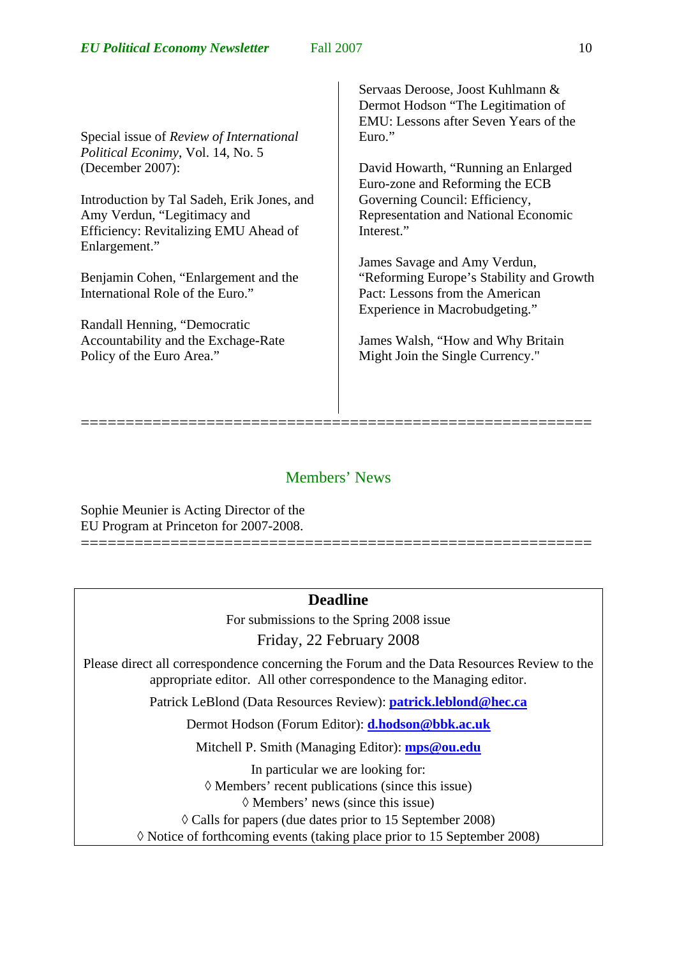Special issue of *Review of International Political Econimy*, Vol. 14, No. 5 (December 2007):

Introduction by Tal Sadeh, Erik Jones, and Amy Verdun, "Legitimacy and Efficiency: Revitalizing EMU Ahead of Enlargement."

Benjamin Cohen, "Enlargement and the International Role of the Euro."

Randall Henning, "Democratic Accountability and the Exchage-Rate Policy of the Euro Area."

Servaas Deroose, Joost Kuhlmann & Dermot Hodson "The Legitimation of EMU: Lessons after Seven Years of the Euro."

David Howarth, "Running an Enlarged Euro-zone and Reforming the ECB Governing Council: Efficiency, Representation and National Economic Interest."

James Savage and Amy Verdun, "Reforming Europe's Stability and Growth Pact: Lessons from the American Experience in Macrobudgeting."

James Walsh, "How and Why Britain Might Join the Single Currency."

## Members' News

=========================================================

Sophie Meunier is Acting Director of the EU Program at Princeton for 2007-2008.

## **Deadline**

=========================================================

For submissions to the Spring 2008 issue Friday, 22 February 2008

Please direct all correspondence concerning the Forum and the Data Resources Review to the appropriate editor. All other correspondence to the Managing editor.

Patrick LeBlond (Data Resources Review): **patrick.leblond@hec.ca**

Dermot Hodson (Forum Editor): **[d.hodson@bbk.ac.uk](mailto:d.hodson@bbk.ac.uk)**

Mitchell P. Smith (Managing Editor): **mps@ou.edu**

In particular we are looking for:

◊ Members' recent publications (since this issue)

◊ Members' news (since this issue)

◊ Calls for papers (due dates prior to 15 September 2008)

◊ Notice of forthcoming events (taking place prior to 15 September 2008)